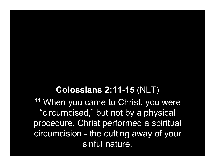## Colossians 2:11-15 (NLT)

<sup>11</sup> When you came to Christ, you were "circumcised," but not by a physical procedure. Christ performed a spiritual circumcision - the cutting away of your sinful nature.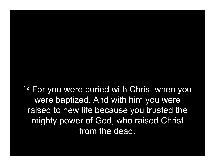<sup>12</sup> For you were buried with Christ when you were baptized. And with him you were raised to new life because you trusted the mighty power of God, who raised Christ from the dead.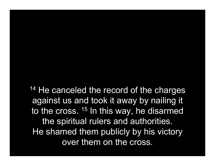<sup>14</sup> He canceled the record of the charges against us and took it away by nailing it to the cross. <sup>15</sup> In this way, he disarmed the spiritual rulers and authorities. He shamed them publicly by his victory over them on the cross.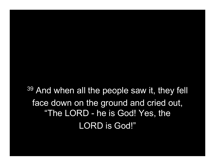<sup>39</sup> And when all the people saw it, they fell face down on the ground and cried out, "The LORD - he is God! Yes, the LORD is God!"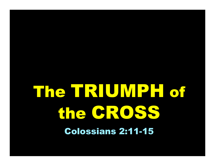## The TRIUMPH of the CROSS Colossians 2:11-15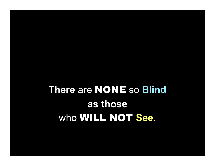## There are NONE so Blind as those who WILL NOT See.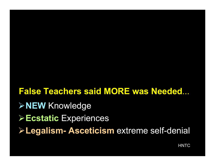False Teachers said MORE was Needed... **≻NEW Knowledge ≻Ecstatic Experiences** Legalism- Asceticism extreme self-denial

**HNTC**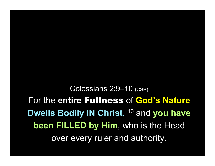Colossians 2:9–10 (CSB) For the entire Fullness of God's Nature Dwells Bodily IN Christ, <sup>10</sup> and you have been FILLED by Him, who is the Head over every ruler and authority.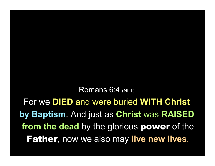Romans 6:4 (NLT)

For we DIED and were buried WITH Christ by Baptism. And just as Christ was RAISED from the dead by the glorious power of the **Father, now we also may live new lives.**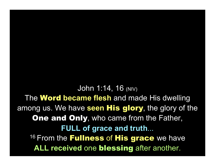John 1:14, 16 (NIV) The **Word became flesh** and made His dwelling among us. We have seen His glory, the glory of the **One and Only, who came from the Father,** FULL of grace and truth... <sup>16</sup> From the **Fullness** of **His grace** we have ALL received one blessing after another.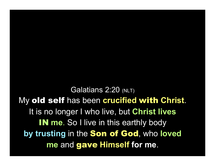Galatians 2:20 (NLT) My old self has been crucified with Christ. It is no longer I who live, but Christ lives IN me. So I live in this earthly body by trusting in the Son of God, who loved me and gave Himself for me.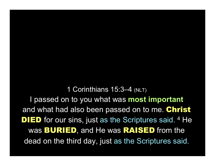1 Corinthians 15:3–4 (NLT) I passed on to you what was **most important** and what had also been passed on to me. Christ **DIED** for our sins, just as the Scriptures said. <sup>4</sup> He was **BURIED**, and He was **RAISED** from the dead on the third day, just as the Scriptures said.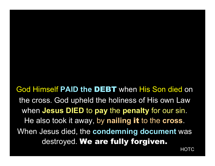God Himself PAID the DEBT when His Son died on the cross. God upheld the holiness of His own Law when **Jesus DIED** to pay the penalty for our sin. He also took it away, by nailing it to the cross. When Jesus died, the **condemning document** was destroyed. We are fully forgiven.

**HOTC**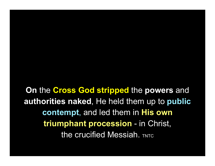On the Cross God stripped the powers and authorities naked, He held them up to public contempt, and led them in His own triumphant procession - in Christ, the crucified Messiah. TNTC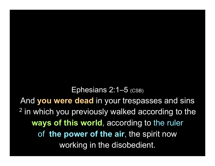Ephesians 2:1–5 (CSB) And you were dead in your trespasses and sins <sup>2</sup> in which you previously walked according to the ways of this world, according to the ruler of the power of the air, the spirit now working in the disobedient.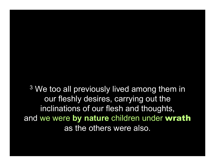<sup>3</sup> We too all previously lived among them in our fleshly desires, carrying out the inclinations of our flesh and thoughts, and we were by nature children under wrath as the others were also.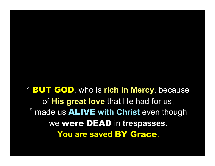4 BUT GOD, who is rich in Mercy, because of **His great love** that He had for us, <sup>5</sup> made us **ALIVE** with Christ even though we were DEAD in trespasses. You are saved BY Grace.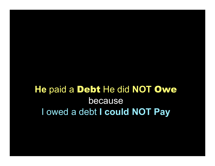He paid a Debt He did NOT Owe because I owed a debt I could NOT Pay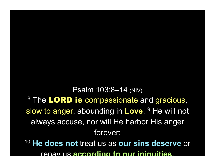Psalm 103:8–14 (NIV) <sup>8</sup> The LORD is compassionate and gracious, slow to anger, abounding in Love. <sup>9</sup> He will not always accuse, nor will He harbor His anger forever; <sup>10</sup> He does not treat us as our sins deserve or repay us according to our iniquities.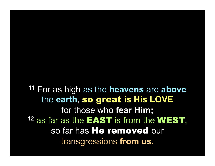$11$  For as high as the heavens are above the earth, so great is His LOVE for those who fear Him; <sup>12</sup> as far as the **EAST** is from the **WEST**, so far has He removed our transgressions from us.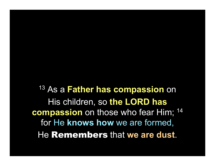<sup>13</sup> As a **Father has compassion** on His children, so the LORD has compassion on those who fear Him; <sup>14</sup> for He knows how we are formed, He Remembers that we are dust.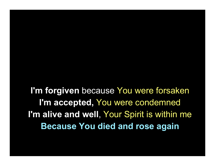I'm forgiven because You were forsaken I'm accepted, You were condemned I'm alive and well, Your Spirit is within me Because You died and rose again